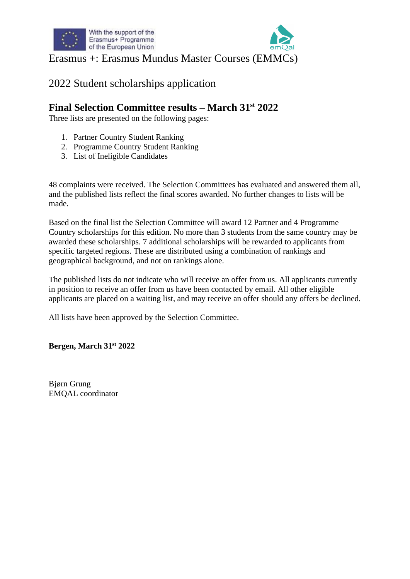

### 2022 Student scholarships application

#### **Final Selection Committee results – March 31st 2022**

Three lists are presented on the following pages:

- 1. Partner Country Student Ranking
- 2. Programme Country Student Ranking
- 3. List of Ineligible Candidates

48 complaints were received. The Selection Committees has evaluated and answered them all, and the published lists reflect the final scores awarded. No further changes to lists will be made.

Based on the final list the Selection Committee will award 12 Partner and 4 Programme Country scholarships for this edition. No more than 3 students from the same country may be awarded these scholarships. 7 additional scholarships will be rewarded to applicants from specific targeted regions. These are distributed using a combination of rankings and geographical background, and not on rankings alone.

The published lists do not indicate who will receive an offer from us. All applicants currently in position to receive an offer from us have been contacted by email. All other eligible applicants are placed on a waiting list, and may receive an offer should any offers be declined.

All lists have been approved by the Selection Committee.

**Bergen, March 31st 2022**

Bjørn Grung EMQAL coordinator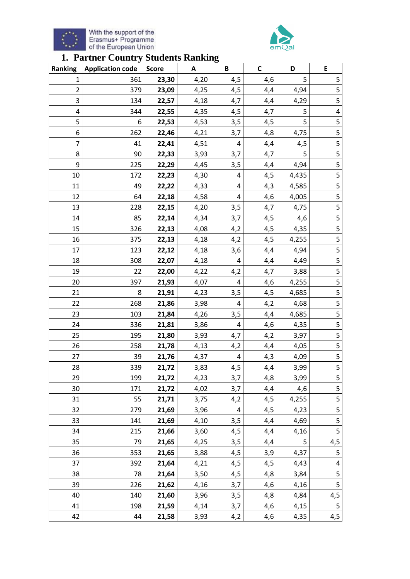



### **1. Partner Country Students Ranking**

| Ranking | <b>Application code</b> | <b>Score</b> | A    | B   | $\mathsf{C}$ | D     | E                        |
|---------|-------------------------|--------------|------|-----|--------------|-------|--------------------------|
| 1       | 361                     | 23,30        | 4,20 | 4,5 | 4,6          | 5     | 5                        |
| 2       | 379                     | 23,09        | 4,25 | 4,5 | 4,4          | 4,94  | 5                        |
| 3       | 134                     | 22,57        | 4,18 | 4,7 | 4,4          | 4,29  | 5                        |
| 4       | 344                     | 22,55        | 4,35 | 4,5 | 4,7          | 5     | $\overline{\mathbf{4}}$  |
| 5       | 6                       | 22,53        | 4,53 | 3,5 | 4,5          | 5     | 5                        |
| 6       | 262                     | 22,46        | 4,21 | 3,7 | 4,8          | 4,75  | 5                        |
| 7       | 41                      | 22,41        | 4,51 | 4   | 4,4          | 4,5   | 5                        |
| 8       | 90                      | 22,33        | 3,93 | 3,7 | 4,7          | 5     | 5                        |
| 9       | 225                     | 22,29        | 4,45 | 3,5 | 4,4          | 4,94  | 5                        |
| 10      | 172                     | 22,23        | 4,30 | 4   | 4,5          | 4,435 | 5                        |
| 11      | 49                      | 22,22        | 4,33 | 4   | 4,3          | 4,585 | 5                        |
| 12      | 64                      | 22,18        | 4,58 | 4   | 4,6          | 4,005 | 5                        |
| 13      | 228                     | 22,15        | 4,20 | 3,5 | 4,7          | 4,75  | 5                        |
| 14      | 85                      | 22,14        | 4,34 | 3,7 | 4,5          | 4,6   | 5                        |
| 15      | 326                     | 22,13        | 4,08 | 4,2 | 4,5          | 4,35  | 5                        |
| 16      | 375                     | 22,13        | 4,18 | 4,2 | 4,5          | 4,255 | 5                        |
| 17      | 123                     | 22,12        | 4,18 | 3,6 | 4,4          | 4,94  | 5                        |
| 18      | 308                     | 22,07        | 4,18 | 4   | 4,4          | 4,49  | 5                        |
| 19      | 22                      | 22,00        | 4,22 | 4,2 | 4,7          | 3,88  | 5                        |
| 20      | 397                     | 21,93        | 4,07 | 4   | 4,6          | 4,255 | 5                        |
| 21      | 8                       | 21,91        | 4,23 | 3,5 | 4,5          | 4,685 | 5                        |
| 22      | 268                     | 21,86        | 3,98 | 4   | 4,2          | 4,68  | 5                        |
| 23      | 103                     | 21,84        | 4,26 | 3,5 | 4,4          | 4,685 | 5                        |
| 24      | 336                     | 21,81        | 3,86 | 4   | 4,6          | 4,35  | 5                        |
| 25      | 195                     | 21,80        | 3,93 | 4,7 | 4,2          | 3,97  | 5                        |
| 26      | 258                     | 21,78        | 4,13 | 4,2 | 4,4          | 4,05  | 5                        |
| 27      | 39                      | 21,76        | 4,37 | 4   | 4,3          | 4,09  | 5                        |
| 28      | 339                     | 21,72        | 3,83 | 4,5 | 4,4          | 3,99  | 5                        |
| 29      | 199                     | 21,72        | 4,23 | 3,7 | 4,8          | 3,99  | 5                        |
| 30      | 171                     | 21,72        | 4,02 | 3,7 | 4,4          | 4,6   | $\overline{\mathbf{5}}$  |
| 31      | 55                      | 21,71        | 3,75 | 4,2 | 4,5          | 4,255 | 5                        |
| 32      | 279                     | 21,69        | 3,96 | 4   | 4,5          | 4,23  | 5                        |
| 33      | 141                     | 21,69        | 4,10 | 3,5 | 4,4          | 4,69  | 5                        |
| 34      | 215                     | 21,66        | 3,60 | 4,5 | 4,4          | 4,16  | 5                        |
| 35      | 79                      | 21,65        | 4,25 | 3,5 | 4,4          | 5     | 4,5                      |
| 36      | 353                     | 21,65        | 3,88 | 4,5 | 3,9          | 4,37  | 5                        |
| 37      | 392                     | 21,64        | 4,21 | 4,5 | 4,5          | 4,43  | $\overline{\mathcal{A}}$ |
| 38      | 78                      | 21,64        | 3,50 | 4,5 | 4,8          | 3,84  | 5                        |
| 39      | 226                     | 21,62        | 4,16 | 3,7 | 4,6          | 4,16  | 5                        |
| 40      | 140                     | 21,60        | 3,96 | 3,5 | 4,8          | 4,84  | 4,5                      |
| 41      | 198                     | 21,59        | 4,14 | 3,7 | 4,6          | 4,15  | 5                        |
| 42      | 44                      | 21,58        | 3,93 | 4,2 | 4,6          | 4,35  | 4,5                      |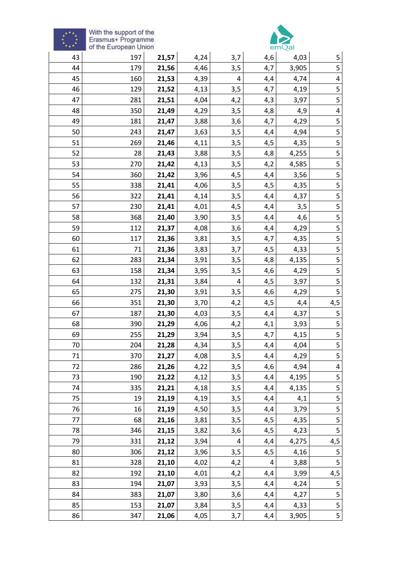



| <b>AAA</b> | of the European Union |       |      |     |     | emQal |                         |
|------------|-----------------------|-------|------|-----|-----|-------|-------------------------|
| 43         | 197                   | 21,57 | 4,24 | 3,7 | 4,6 | 4,03  | 5                       |
| 44         | 179                   | 21,56 | 4,46 | 3,5 | 4,7 | 3,905 | 5                       |
| 45         | 160                   | 21,53 | 4,39 | 4   | 4,4 | 4,74  | 4                       |
| 46         | 129                   | 21,52 | 4,13 | 3,5 | 4,7 | 4,19  | 5                       |
| 47         | 281                   | 21,51 | 4,04 | 4,2 | 4,3 | 3,97  | 5                       |
| 48         | 350                   | 21,49 | 4,29 | 3,5 | 4,8 | 4,9   | $\overline{\mathbf{4}}$ |
| 49         | 181                   | 21,47 | 3,88 | 3,6 | 4,7 | 4,29  | 5                       |
| 50         | 243                   | 21,47 | 3,63 | 3,5 | 4,4 | 4,94  | 5                       |
| 51         | 269                   | 21,46 | 4,11 | 3,5 | 4,5 | 4,35  | 5                       |
| 52         | 28                    | 21,43 | 3,88 | 3,5 | 4,8 | 4,255 | 5                       |
| 53         | 270                   | 21,42 | 4,13 | 3,5 | 4,2 | 4,585 | 5                       |
| 54         | 360                   | 21,42 | 3,96 | 4,5 | 4,4 | 3,56  | 5                       |
| 55         | 338                   | 21,41 | 4,06 | 3,5 | 4,5 | 4,35  | 5                       |
| 56         | 322                   | 21,41 | 4,14 | 3,5 | 4,4 | 4,37  | 5                       |
| 57         | 230                   | 21,41 | 4,01 | 4,5 | 4,4 | 3,5   | 5                       |
| 58         | 368                   | 21,40 | 3,90 | 3,5 | 4,4 | 4,6   | 5                       |
| 59         | 112                   | 21,37 | 4,08 | 3,6 | 4,4 | 4,29  | $\overline{\mathbf{5}}$ |
| 60         | 117                   | 21,36 | 3,81 | 3,5 | 4,7 | 4,35  | 5                       |
| 61         | 71                    | 21,36 | 3,83 | 3,7 | 4,5 | 4,33  | 5                       |
| 62         | 283                   | 21,34 | 3,91 | 3,5 | 4,8 | 4,135 | 5                       |
| 63         | 158                   | 21,34 | 3,95 | 3,5 | 4,6 | 4,29  | 5                       |
| 64         | 132                   | 21,31 | 3,84 | 4   | 4,5 | 3,97  | 5                       |
| 65         | 275                   | 21,30 | 3,91 | 3,5 | 4,6 | 4,29  | $\overline{5}$          |
| 66         | 351                   | 21,30 | 3,70 | 4,2 | 4,5 | 4,4   | 4,5                     |
| 67         | 187                   | 21,30 | 4,03 | 3,5 | 4,4 | 4,37  | 5                       |
| 68         | 390                   | 21,29 | 4,06 | 4,2 | 4,1 | 3,93  | 5                       |
| 69         | 255                   | 21,29 | 3,94 | 3,5 | 4,7 | 4,15  | 5                       |
| 70         | 204                   | 21,28 | 4,34 | 3,5 | 4,4 | 4,04  | 5                       |
| 71         | 370                   | 21,27 | 4,08 | 3,5 | 4,4 | 4,29  | 5                       |
| 72         | 286                   | 21,26 | 4,22 | 3,5 | 4,6 | 4,94  | 4                       |
| 73         | 190                   | 21,22 | 4,12 | 3,5 | 4,4 | 4,195 | 5                       |
| 74         | 335                   | 21,21 | 4,18 | 3,5 | 4,4 | 4,135 | 5                       |
| 75         | 19                    | 21,19 | 4,19 | 3,5 | 4,4 | 4,1   | 5                       |
| 76         | 16                    | 21,19 | 4,50 | 3,5 | 4,4 | 3,79  | 5                       |
| 77         | 68                    | 21,16 | 3,81 | 3,5 | 4,5 | 4,35  | 5                       |
| 78         | 346                   | 21,15 | 3,82 | 3,6 | 4,5 | 4,23  | 5                       |
| 79         | 331                   | 21,12 | 3,94 | 4   | 4,4 | 4,275 | 4,5                     |
| 80         | 306                   | 21,12 | 3,96 | 3,5 | 4,5 | 4,16  | 5                       |
| 81         | 328                   | 21,10 | 4,02 | 4,2 | 4   | 3,88  | 5                       |
| 82         | 192                   | 21,10 | 4,01 | 4,2 | 4,4 | 3,99  | 4,5                     |
| 83         | 194                   | 21,07 | 3,93 | 3,5 | 4,4 | 4,24  | 5                       |
| 84         | 383                   | 21,07 | 3,80 | 3,6 | 4,4 | 4,27  | 5                       |
| 85         | 153                   | 21,07 | 3,84 | 3,5 | 4,4 | 4,33  | $\overline{\mathbf{5}}$ |
| 86         | 347                   | 21,06 | 4,05 | 3,7 | 4,4 | 3,905 | 5                       |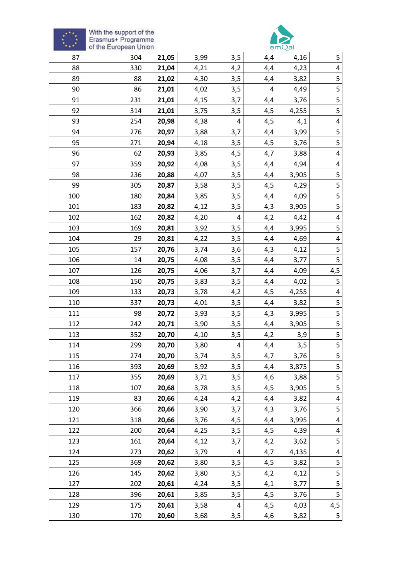



|     | of the European Union |       |      |     |     | emQal |                         |
|-----|-----------------------|-------|------|-----|-----|-------|-------------------------|
| 87  | 304                   | 21,05 | 3,99 | 3,5 | 4,4 | 4,16  | 5                       |
| 88  | 330                   | 21,04 | 4,21 | 4,2 | 4,4 | 4,23  | 4                       |
| 89  | 88                    | 21,02 | 4,30 | 3,5 | 4,4 | 3,82  | 5                       |
| 90  | 86                    | 21,01 | 4,02 | 3,5 | 4   | 4,49  | 5                       |
| 91  | 231                   | 21,01 | 4,15 | 3,7 | 4,4 | 3,76  | 5                       |
| 92  | 314                   | 21,01 | 3,75 | 3,5 | 4,5 | 4,255 | 5                       |
| 93  | 254                   | 20,98 | 4,38 | 4   | 4,5 | 4,1   | 4                       |
| 94  | 276                   | 20,97 | 3,88 | 3,7 | 4,4 | 3,99  | 5                       |
| 95  | 271                   | 20,94 | 4,18 | 3,5 | 4,5 | 3,76  | 5                       |
| 96  | 62                    | 20,93 | 3,85 | 4,5 | 4,7 | 3,88  | $\overline{\mathbf{4}}$ |
| 97  | 359                   | 20,92 | 4,08 | 3,5 | 4,4 | 4,94  | 4                       |
| 98  | 236                   | 20,88 | 4,07 | 3,5 | 4,4 | 3,905 | 5                       |
| 99  | 305                   | 20,87 | 3,58 | 3,5 | 4,5 | 4,29  | 5                       |
| 100 | 180                   | 20,84 | 3,85 | 3,5 | 4,4 | 4,09  | $\overline{\mathbf{5}}$ |
| 101 | 183                   | 20,82 | 4,12 | 3,5 | 4,3 | 3,905 | 5                       |
| 102 | 162                   | 20,82 | 4,20 | 4   | 4,2 | 4,42  | $\pmb{4}$               |
| 103 | 169                   | 20,81 | 3,92 | 3,5 | 4,4 | 3,995 | 5                       |
| 104 | 29                    | 20,81 | 4,22 | 3,5 | 4,4 | 4,69  | 4                       |
| 105 | 157                   | 20,76 | 3,74 | 3,6 | 4,3 | 4,12  | 5                       |
| 106 | 14                    | 20,75 | 4,08 | 3,5 | 4,4 | 3,77  | 5                       |
| 107 | 126                   | 20,75 | 4,06 | 3,7 | 4,4 | 4,09  | 4,5                     |
| 108 | 150                   | 20,75 | 3,83 | 3,5 | 4,4 | 4,02  | 5                       |
| 109 | 133                   | 20,73 | 3,78 | 4,2 | 4,5 | 4,255 | $\overline{\mathbf{r}}$ |
| 110 | 337                   | 20,73 | 4,01 | 3,5 | 4,4 | 3,82  | 5                       |
| 111 | 98                    | 20,72 | 3,93 | 3,5 | 4,3 | 3,995 | 5                       |
| 112 | 242                   | 20,71 | 3,90 | 3,5 | 4,4 | 3,905 | 5                       |
| 113 | 352                   | 20,70 | 4,10 | 3,5 | 4,2 | 3,9   | 5                       |
| 114 | 299                   | 20,70 | 3,80 | 4   | 4,4 | 3,5   | $\overline{5}$          |
| 115 | 274                   | 20,70 | 3,74 | 3,5 | 4,7 | 3,76  | 5                       |
| 116 | 393                   | 20,69 | 3,92 | 3,5 | 4,4 | 3,875 | 5                       |
| 117 | 355                   | 20,69 | 3,71 | 3,5 | 4,6 | 3,88  | 5                       |
| 118 | 107                   | 20,68 | 3,78 | 3,5 | 4,5 | 3,905 | 5                       |
| 119 | 83                    | 20,66 | 4,24 | 4,2 | 4,4 | 3,82  | $\pmb{4}$               |
| 120 | 366                   | 20,66 | 3,90 | 3,7 | 4,3 | 3,76  | 5                       |
| 121 | 318                   | 20,66 | 3,76 | 4,5 | 4,4 | 3,995 | $\overline{\mathbf{4}}$ |
| 122 | 200                   | 20,64 | 4,25 | 3,5 | 4,5 | 4,39  | 4                       |
| 123 | 161                   | 20,64 | 4,12 | 3,7 | 4,2 | 3,62  | 5                       |
| 124 | 273                   | 20,62 | 3,79 | 4   | 4,7 | 4,135 | 4                       |
| 125 | 369                   | 20,62 | 3,80 | 3,5 | 4,5 | 3,82  | 5                       |
| 126 | 145                   | 20,62 | 3,80 | 3,5 | 4,2 | 4,12  | 5                       |
| 127 | 202                   | 20,61 | 4,24 | 3,5 | 4,1 | 3,77  | 5                       |
| 128 | 396                   | 20,61 | 3,85 | 3,5 | 4,5 | 3,76  | 5                       |
| 129 | 175                   | 20,61 | 3,58 | 4   | 4,5 | 4,03  | 4,5                     |
| 130 | 170                   | 20,60 | 3,68 | 3,5 | 4,6 | 3,82  | 5                       |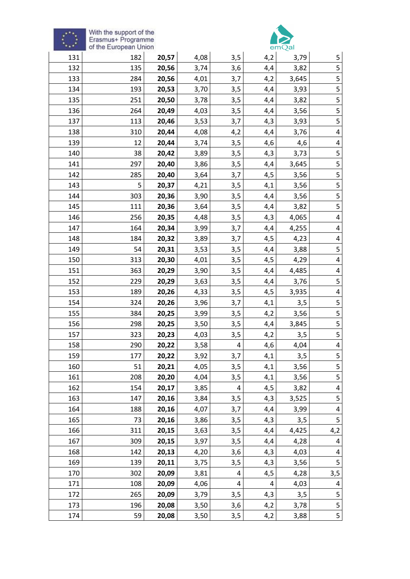# $\hat{\xi}^{\prime\prime}_{\alpha\beta}$



| 131 | 182 | 20,57 | 4,08 | 3,5 | 4,2 | 3,79  | 5                       |
|-----|-----|-------|------|-----|-----|-------|-------------------------|
| 132 | 135 | 20,56 | 3,74 | 3,6 | 4,4 | 3,82  | 5                       |
| 133 | 284 | 20,56 | 4,01 | 3,7 | 4,2 | 3,645 | 5                       |
| 134 | 193 | 20,53 | 3,70 | 3,5 | 4,4 | 3,93  | 5                       |
| 135 | 251 | 20,50 | 3,78 | 3,5 | 4,4 | 3,82  | 5                       |
| 136 | 264 | 20,49 | 4,03 | 3,5 | 4,4 | 3,56  | $\overline{5}$          |
| 137 | 113 | 20,46 | 3,53 | 3,7 | 4,3 | 3,93  | 5                       |
| 138 | 310 | 20,44 | 4,08 | 4,2 | 4,4 | 3,76  | $\overline{\mathbf{4}}$ |
| 139 | 12  | 20,44 | 3,74 | 3,5 | 4,6 | 4,6   | 4                       |
| 140 | 38  | 20,42 | 3,89 | 3,5 | 4,3 | 3,73  | 5                       |
| 141 | 297 | 20,40 | 3,86 | 3,5 | 4,4 | 3,645 | 5                       |
| 142 | 285 | 20,40 | 3,64 | 3,7 | 4,5 | 3,56  | $\overline{\mathbf{5}}$ |
| 143 | 5   | 20,37 | 4,21 | 3,5 | 4,1 | 3,56  | 5                       |
| 144 | 303 | 20,36 | 3,90 | 3,5 | 4,4 | 3,56  | 5                       |
| 145 | 111 | 20,36 | 3,64 | 3,5 | 4,4 | 3,82  | 5                       |
| 146 | 256 | 20,35 | 4,48 | 3,5 | 4,3 | 4,065 | 4                       |
| 147 | 164 | 20,34 | 3,99 | 3,7 | 4,4 | 4,255 | $\pmb{4}$               |
| 148 | 184 | 20,32 | 3,89 | 3,7 | 4,5 | 4,23  | $\pmb{4}$               |
| 149 | 54  | 20,31 | 3,53 | 3,5 | 4,4 | 3,88  | 5                       |
| 150 | 313 | 20,30 | 4,01 | 3,5 | 4,5 | 4,29  | $\overline{\mathbf{4}}$ |
| 151 | 363 | 20,29 | 3,90 | 3,5 | 4,4 | 4,485 | 4                       |
| 152 | 229 | 20,29 | 3,63 | 3,5 | 4,4 | 3,76  | 5                       |
| 153 | 189 | 20,26 | 4,33 | 3,5 | 4,5 | 3,935 | $\overline{\mathbf{4}}$ |
| 154 | 324 | 20,26 | 3,96 | 3,7 | 4,1 | 3,5   | 5                       |
| 155 | 384 | 20,25 | 3,99 | 3,5 | 4,2 | 3,56  | 5                       |
| 156 | 298 | 20,25 | 3,50 | 3,5 | 4,4 | 3,845 | 5                       |
| 157 | 323 | 20,23 | 4,03 | 3,5 | 4,2 | 3,5   | 5                       |
| 158 | 290 | 20,22 | 3,58 | 4   | 4,6 | 4,04  | 4                       |
| 159 | 177 | 20,22 | 3,92 | 3,7 | 4,1 | 3,5   | $\overline{\mathbf{5}}$ |
| 160 | 51  | 20,21 | 4,05 | 3,5 | 4,1 | 3,56  | $\mathsf S$             |
| 161 | 208 | 20,20 | 4,04 | 3,5 | 4,1 | 3,56  | 5                       |
| 162 | 154 | 20,17 | 3,85 | 4   | 4,5 | 3,82  | $\overline{\mathbf{4}}$ |
| 163 | 147 | 20,16 | 3,84 | 3,5 | 4,3 | 3,525 | 5                       |
| 164 | 188 | 20,16 | 4,07 | 3,7 | 4,4 | 3,99  | $\overline{\mathbf{4}}$ |
| 165 | 73  | 20,16 | 3,86 | 3,5 | 4,3 | 3,5   | 5                       |
| 166 | 311 | 20,15 | 3,63 | 3,5 | 4,4 | 4,425 | 4,2                     |
| 167 | 309 | 20,15 | 3,97 | 3,5 | 4,4 | 4,28  | $\pmb{4}$               |
| 168 | 142 | 20,13 | 4,20 | 3,6 | 4,3 | 4,03  | $\pmb{4}$               |
| 169 | 139 | 20,11 | 3,75 | 3,5 | 4,3 | 3,56  | 5                       |
| 170 | 302 | 20,09 | 3,81 | 4   | 4,5 | 4,28  | 3,5                     |
| 171 | 108 | 20,09 | 4,06 | 4   | 4   | 4,03  | $\overline{\mathbf{r}}$ |
| 172 | 265 | 20,09 | 3,79 | 3,5 | 4,3 | 3,5   | 5                       |
| 173 | 196 | 20,08 | 3,50 | 3,6 | 4,2 | 3,78  | $\overline{\mathbf{5}}$ |
| 174 | 59  | 20,08 | 3,50 | 3,5 | 4,2 | 3,88  |                         |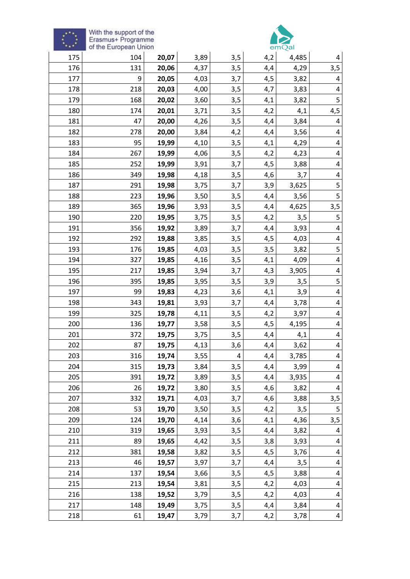



|     | of the European Union |       |      |     |     | emQal |                         |
|-----|-----------------------|-------|------|-----|-----|-------|-------------------------|
| 175 | 104                   | 20,07 | 3,89 | 3,5 | 4,2 | 4,485 |                         |
| 176 | 131                   | 20,06 | 4,37 | 3,5 | 4,4 | 4,29  | 3,5                     |
| 177 | 9                     | 20,05 | 4,03 | 3,7 | 4,5 | 3,82  | 4                       |
| 178 | 218                   | 20,03 | 4,00 | 3,5 | 4,7 | 3,83  | 4                       |
| 179 | 168                   | 20,02 | 3,60 | 3,5 | 4,1 | 3,82  | 5                       |
| 180 | 174                   | 20,01 | 3,71 | 3,5 | 4,2 | 4,1   | $\frac{4,5}{ }$         |
| 181 | 47                    | 20,00 | 4,26 | 3,5 | 4,4 | 3,84  | 4                       |
| 182 | 278                   | 20,00 | 3,84 | 4,2 | 4,4 | 3,56  | $\overline{\mathbf{4}}$ |
| 183 | 95                    | 19,99 | 4,10 | 3,5 | 4,1 | 4,29  | 4                       |
| 184 | 267                   | 19,99 | 4,06 | 3,5 | 4,2 | 4,23  | 4                       |
| 185 | 252                   | 19,99 | 3,91 | 3,7 | 4,5 | 3,88  | 4                       |
| 186 | 349                   | 19,98 | 4,18 | 3,5 | 4,6 | 3,7   | 4                       |
| 187 | 291                   | 19,98 | 3,75 | 3,7 | 3,9 | 3,625 | 5                       |
| 188 | 223                   | 19,96 | 3,50 | 3,5 | 4,4 | 3,56  | 5                       |
| 189 | 365                   | 19,96 | 3,93 | 3,5 | 4,4 | 4,625 | 3,5                     |
| 190 | 220                   | 19,95 | 3,75 | 3,5 | 4,2 | 3,5   | 5                       |
| 191 | 356                   | 19,92 | 3,89 | 3,7 | 4,4 | 3,93  | 4                       |
| 192 | 292                   | 19,88 | 3,85 | 3,5 | 4,5 | 4,03  | 4                       |
| 193 | 176                   | 19,85 | 4,03 | 3,5 | 3,5 | 3,82  | 5                       |
| 194 | 327                   | 19,85 | 4,16 | 3,5 | 4,1 | 4,09  | $\overline{\mathbf{4}}$ |
| 195 | 217                   | 19,85 | 3,94 | 3,7 | 4,3 | 3,905 | 4                       |
| 196 | 395                   | 19,85 | 3,95 | 3,5 | 3,9 | 3,5   | 5                       |
| 197 | 99                    | 19,83 | 4,23 | 3,6 | 4,1 | 3,9   | $\overline{\mathbf{4}}$ |
| 198 | 343                   | 19,81 | 3,93 | 3,7 | 4,4 | 3,78  | 4                       |
| 199 | 325                   | 19,78 | 4,11 | 3,5 | 4,2 | 3,97  | 4                       |
| 200 | 136                   | 19,77 | 3,58 | 3,5 | 4,5 | 4,195 | 4                       |
| 201 | 372                   | 19,75 | 3,75 | 3,5 | 4,4 | 4,1   | $\overline{\mathbf{4}}$ |
| 202 | 87                    | 19,75 | 4,13 | 3,6 | 4,4 | 3,62  | 4                       |
| 203 | 316                   | 19,74 | 3,55 | 4   | 4,4 | 3,785 | 4                       |
| 204 | 315                   | 19,73 | 3,84 | 3,5 | 4,4 | 3,99  | $\overline{4}$          |
| 205 | 391                   | 19,72 | 3,89 | 3,5 | 4,4 | 3,935 | 4                       |
| 206 | 26                    | 19,72 | 3,80 | 3,5 | 4,6 | 3,82  | 4                       |
| 207 | 332                   | 19,71 | 4,03 | 3,7 | 4,6 | 3,88  | 3,5                     |
| 208 | 53                    | 19,70 | 3,50 | 3,5 | 4,2 | 3,5   | 5                       |
| 209 | 124                   | 19,70 | 4,14 | 3,6 | 4,1 | 4,36  | 3,5                     |
| 210 | 319                   | 19,65 | 3,93 | 3,5 | 4,4 | 3,82  | 4                       |
| 211 | 89                    | 19,65 | 4,42 | 3,5 | 3,8 | 3,93  | 4                       |
| 212 | 381                   | 19,58 | 3,82 | 3,5 | 4,5 | 3,76  | 4                       |
| 213 | 46                    | 19,57 | 3,97 | 3,7 | 4,4 | 3,5   | $\overline{\mathbf{4}}$ |
| 214 | 137                   | 19,54 | 3,66 | 3,5 | 4,5 | 3,88  | 4                       |
| 215 | 213                   | 19,54 | 3,81 | 3,5 | 4,2 | 4,03  | 4                       |
| 216 | 138                   | 19,52 | 3,79 | 3,5 | 4,2 | 4,03  | $\overline{\mathbf{4}}$ |
| 217 | 148                   | 19,49 | 3,75 | 3,5 | 4,4 | 3,84  | 4                       |
| 218 | 61                    | 19,47 | 3,79 | 3,7 | 4,2 | 3,78  | $\overline{\mathbf{4}}$ |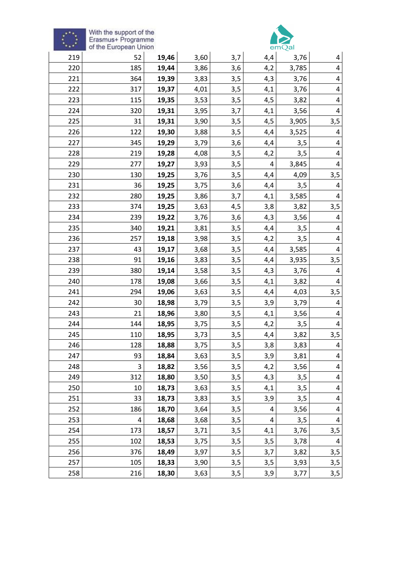



| $+ +$ | of the European Union |       |      |     |     | emQal |                         |
|-------|-----------------------|-------|------|-----|-----|-------|-------------------------|
| 219   | 52                    | 19,46 | 3,60 | 3,7 | 4,4 | 3,76  | 4                       |
| 220   | 185                   | 19,44 | 3,86 | 3,6 | 4,2 | 3,785 | 4                       |
| 221   | 364                   | 19,39 | 3,83 | 3,5 | 4,3 | 3,76  | 4                       |
| 222   | 317                   | 19,37 | 4,01 | 3,5 | 4,1 | 3,76  | 4                       |
| 223   | 115                   | 19,35 | 3,53 | 3,5 | 4,5 | 3,82  | 4                       |
| 224   | 320                   | 19,31 | 3,95 | 3,7 | 4,1 | 3,56  | $\overline{4}$          |
| 225   | 31                    | 19,31 | 3,90 | 3,5 | 4,5 | 3,905 | 3,5                     |
| 226   | 122                   | 19,30 | 3,88 | 3,5 | 4,4 | 3,525 | 4                       |
| 227   | 345                   | 19,29 | 3,79 | 3,6 | 4,4 | 3,5   | 4                       |
| 228   | 219                   | 19,28 | 4,08 | 3,5 | 4,2 | 3,5   | 4                       |
| 229   | 277                   | 19,27 | 3,93 | 3,5 | 4   | 3,845 | 4                       |
| 230   | 130                   | 19,25 | 3,76 | 3,5 | 4,4 | 4,09  | 3,5                     |
| 231   | 36                    | 19,25 | 3,75 | 3,6 | 4,4 | 3,5   | $\overline{\mathbf{r}}$ |
| 232   | 280                   | 19,25 | 3,86 | 3,7 | 4,1 | 3,585 | 4                       |
| 233   | 374                   | 19,25 | 3,63 | 4,5 | 3,8 | 3,82  | 3,5                     |
| 234   | 239                   | 19,22 | 3,76 | 3,6 | 4,3 | 3,56  | $\overline{\mathbf{r}}$ |
| 235   | 340                   | 19,21 | 3,81 | 3,5 | 4,4 | 3,5   | 4                       |
| 236   | 257                   | 19,18 | 3,98 | 3,5 | 4,2 | 3,5   | 4                       |
| 237   | 43                    | 19,17 | 3,68 | 3,5 | 4,4 | 3,585 | 4                       |
| 238   | 91                    | 19,16 | 3,83 | 3,5 | 4,4 | 3,935 | 3,5                     |
| 239   | 380                   | 19,14 | 3,58 | 3,5 | 4,3 | 3,76  | 4                       |
| 240   | 178                   | 19,08 | 3,66 | 3,5 | 4,1 | 3,82  | 4                       |
| 241   | 294                   | 19,06 | 3,63 | 3,5 | 4,4 | 4,03  | 3,5                     |
| 242   | 30                    | 18,98 | 3,79 | 3,5 | 3,9 | 3,79  | 4                       |
| 243   | 21                    | 18,96 | 3,80 | 3,5 | 4,1 | 3,56  | 4                       |
| 244   | 144                   | 18,95 | 3,75 | 3,5 | 4,2 | 3,5   | 4                       |
| 245   | 110                   | 18,95 | 3,73 | 3,5 | 4,4 | 3,82  | 3,5                     |
| 246   | 128                   | 18,88 | 3,75 | 3,5 | 3,8 | 3,83  | $\overline{\mathbf{4}}$ |
| 247   | 93                    | 18,84 | 3,63 | 3,5 | 3,9 | 3,81  | 4                       |
| 248   | 3                     | 18,82 | 3,56 | 3,5 | 4,2 | 3,56  | $\overline{\mathbf{4}}$ |
| 249   | 312                   | 18,80 | 3,50 | 3,5 | 4,3 | 3,5   | 4                       |
| 250   | 10                    | 18,73 | 3,63 | 3,5 | 4,1 | 3,5   | 4                       |
| 251   | 33                    | 18,73 | 3,83 | 3,5 | 3,9 | 3,5   | 4                       |
| 252   | 186                   | 18,70 | 3,64 | 3,5 | 4   | 3,56  | $\overline{\mathbf{r}}$ |
| 253   | 4                     | 18,68 | 3,68 | 3,5 | 4   | 3,5   | $\pmb{4}$               |
| 254   | 173                   | 18,57 | 3,71 | 3,5 | 4,1 | 3,76  | 3,5                     |
| 255   | 102                   | 18,53 | 3,75 | 3,5 | 3,5 | 3,78  | $\overline{\mathbf{r}}$ |
| 256   | 376                   | 18,49 | 3,97 | 3,5 | 3,7 | 3,82  | 3,5                     |
| 257   | 105                   | 18,33 | 3,90 | 3,5 | 3,5 | 3,93  | 3,5                     |
| 258   | 216                   | 18,30 | 3,63 | 3,5 | 3,9 | 3,77  | 3,5                     |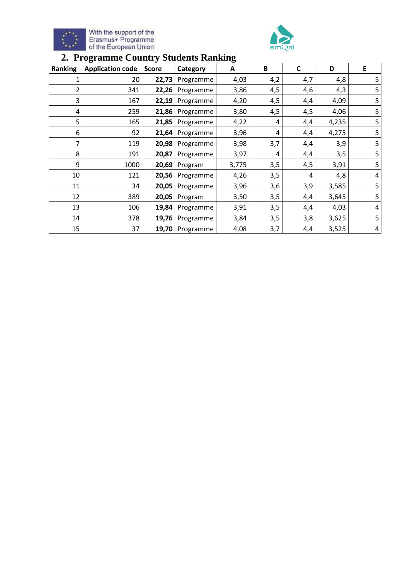



## **2. Programme Country Students Ranking**

| Ranking | <b>Application code</b> | <b>Score</b> | Category        | A     | B   | C   | D     | E |
|---------|-------------------------|--------------|-----------------|-------|-----|-----|-------|---|
| 1       | 20                      | 22,73        | Programme       | 4,03  | 4,2 | 4,7 | 4,8   | 5 |
| 2       | 341                     | 22,26        | Programme       | 3,86  | 4,5 | 4,6 | 4,3   | 5 |
| 3       | 167                     | 22,19        | Programme       | 4,20  | 4,5 | 4,4 | 4,09  | 5 |
| 4       | 259                     | 21,86        | Programme       | 3,80  | 4,5 | 4,5 | 4,06  | 5 |
| 5       | 165                     | 21,85        | Programme       | 4,22  | 4   | 4,4 | 4,235 | 5 |
| 6       | 92                      | 21,64        | Programme       | 3,96  | 4   | 4,4 | 4,275 | 5 |
| 7       | 119                     | 20,98        | Programme       | 3,98  | 3,7 | 4,4 | 3,9   | 5 |
| 8       | 191                     | 20,87        | Programme       | 3,97  | 4   | 4,4 | 3,5   | 5 |
| 9       | 1000                    | 20,69        | Program         | 3,775 | 3,5 | 4,5 | 3,91  | 5 |
| 10      | 121                     | 20,56        | Programme       | 4,26  | 3,5 | 4   | 4,8   | 4 |
| 11      | 34                      | 20,05        | Programme       | 3,96  | 3,6 | 3,9 | 3,585 | 5 |
| 12      | 389                     | 20,05        | Program         | 3,50  | 3,5 | 4,4 | 3,645 | 5 |
| 13      | 106                     | 19,84        | Programme       | 3,91  | 3,5 | 4,4 | 4,03  | 4 |
| 14      | 378                     | 19,76        | Programme       | 3,84  | 3,5 | 3,8 | 3,625 | 5 |
| 15      | 37                      |              | 19,70 Programme | 4,08  | 3,7 | 4,4 | 3,525 | 4 |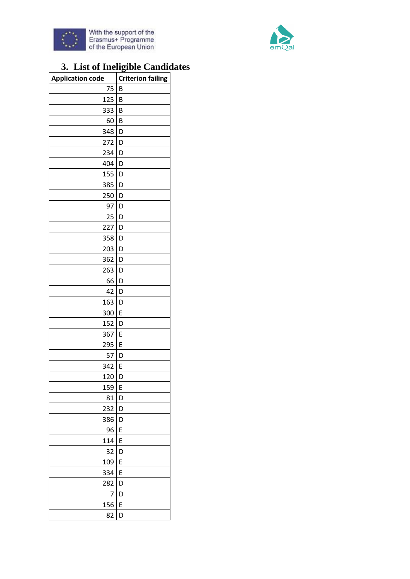



## **3. List of Ineligible Candidates**

| <b>Application code</b> | <b>Criterion failing</b> |
|-------------------------|--------------------------|
| 75                      | B                        |
| 125                     | B                        |
| 333                     | B                        |
| 60                      | B                        |
| 348                     | D                        |
| 272                     | D                        |
| 234                     | D                        |
| 404                     | D                        |
| 155                     | D                        |
| 385                     | D                        |
| 250                     | D                        |
| 97                      | D                        |
| 25                      | D                        |
| 227                     | D                        |
| 358                     | D                        |
| 203                     | D                        |
| 362                     | D                        |
| 263                     | D                        |
| 66                      | D                        |
| 42                      | D                        |
| 163                     | D                        |
| 300                     | E                        |
| 152                     | D                        |
| 367                     | E                        |
| 295                     | E                        |
| 57                      | D                        |
| 342                     | E                        |
| 120                     | D                        |
| 159                     | E                        |
| 81                      | D                        |
| 232                     | D                        |
| 386                     | D                        |
| 96                      | E                        |
| 114                     | E                        |
| 32                      | D                        |
| 109                     | E                        |
| 334                     | E                        |
| 282                     | D                        |
| 7                       | D                        |
| 156                     | E                        |
| 82                      | D                        |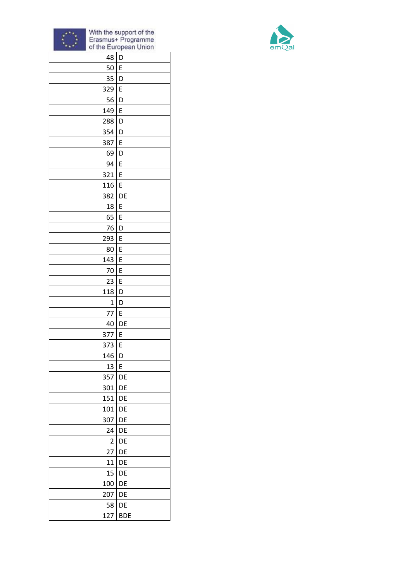



| 48                      | D          |
|-------------------------|------------|
| 50                      | E          |
| 35                      | D          |
| 329                     | E          |
| 56                      | D          |
| 149                     | E          |
| 288                     | D          |
| 354                     | D          |
| 387                     | E          |
| 69                      | D          |
| 94                      | E          |
| 321                     | E          |
| 116                     | E          |
| 382                     | DE         |
| 18                      | E          |
| 65                      | E          |
| 76                      | D          |
| 293                     | E          |
| 80                      | E          |
| 143                     | E          |
| 70                      | E          |
| 23                      | E          |
| 118                     | D          |
| 1                       | D          |
| 77                      | E          |
| 40                      | DE         |
| 377                     | E          |
| 373                     | E          |
| 146                     | D          |
| 13                      | E          |
| 357                     | DE         |
| 301                     | DE         |
| 151                     | DE         |
| 101                     | DE         |
| 307                     | DE         |
| 24                      | DE         |
| $\overline{\mathbf{c}}$ | DE         |
| 27                      | DE         |
| 11                      | DE         |
| 15                      | DE         |
| 100                     | DE         |
| 207                     | DE         |
| 58                      | DE         |
| 127                     | <b>BDE</b> |